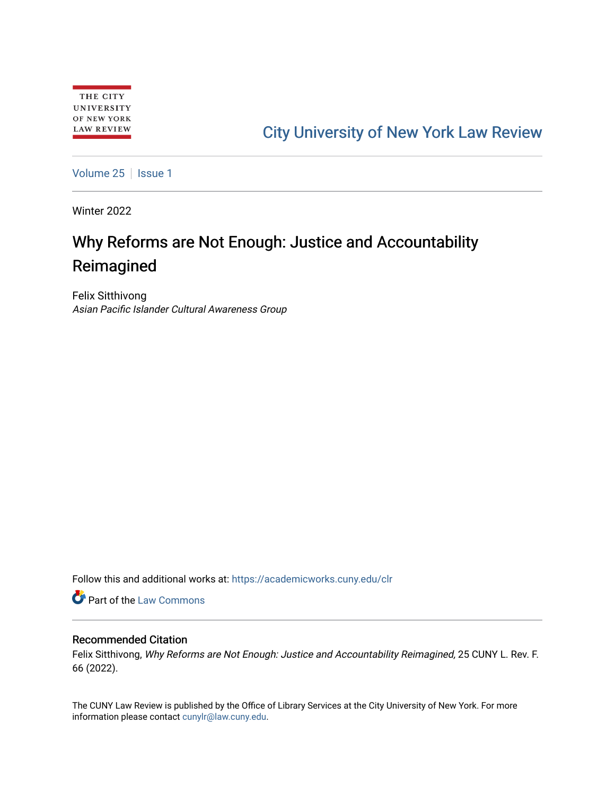# [City University of New York Law Review](https://academicworks.cuny.edu/clr)

[Volume 25](https://academicworks.cuny.edu/clr/vol25) | [Issue 1](https://academicworks.cuny.edu/clr/vol25/iss1)

Winter 2022

# Why Reforms are Not Enough: Justice and Accountability Reimagined

Felix Sitthivong Asian Pacific Islander Cultural Awareness Group

Follow this and additional works at: [https://academicworks.cuny.edu/clr](https://academicworks.cuny.edu/clr?utm_source=academicworks.cuny.edu%2Fclr%2Fvol25%2Fiss1%2F7&utm_medium=PDF&utm_campaign=PDFCoverPages) 

**Part of the [Law Commons](http://network.bepress.com/hgg/discipline/578?utm_source=academicworks.cuny.edu%2Fclr%2Fvol25%2Fiss1%2F7&utm_medium=PDF&utm_campaign=PDFCoverPages)** 

## Recommended Citation

Felix Sitthivong, Why Reforms are Not Enough: Justice and Accountability Reimagined, 25 CUNY L. Rev. F. 66 (2022).

The CUNY Law Review is published by the Office of Library Services at the City University of New York. For more information please contact [cunylr@law.cuny.edu](mailto:cunylr@law.cuny.edu).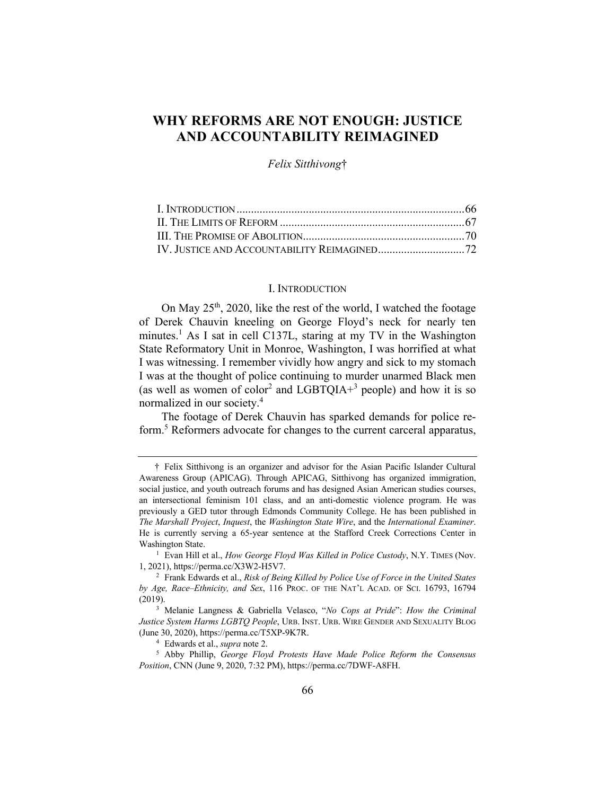# **WHY REFORMS ARE NOT ENOUGH: JUSTICE AND ACCOUNTABILITY REIMAGINED**

*Felix Sitthivong*†

#### I. INTRODUCTION

On May  $25<sup>th</sup>$ , 2020, like the rest of the world, I watched the footage of Derek Chauvin kneeling on George Floyd's neck for nearly ten minutes.<sup>1</sup> As I sat in cell C137L, staring at my TV in the Washington State Reformatory Unit in Monroe, Washington, I was horrified at what I was witnessing. I remember vividly how angry and sick to my stomach I was at the thought of police continuing to murder unarmed Black men (as well as women of color<sup>2</sup> and LGBTQIA+<sup>3</sup> people) and how it is so normalized in our society.4

The footage of Derek Chauvin has sparked demands for police reform.<sup>5</sup> Reformers advocate for changes to the current carceral apparatus,

<sup>4</sup> Edwards et al., *supra* note 2.

<sup>†</sup> Felix Sitthivong is an organizer and advisor for the Asian Pacific Islander Cultural Awareness Group (APICAG). Through APICAG, Sitthivong has organized immigration, social justice, and youth outreach forums and has designed Asian American studies courses, an intersectional feminism 101 class, and an anti-domestic violence program. He was previously a GED tutor through Edmonds Community College. He has been published in *The Marshall Project*, *Inquest*, the *Washington State Wire*, and the *International Examiner*. He is currently serving a 65-year sentence at the Stafford Creek Corrections Center in Washington State.

<sup>&</sup>lt;sup>1</sup> Evan Hill et al., *How George Floyd Was Killed in Police Custody*, N.Y. TIMES (Nov. 1, 2021), https://perma.cc/X3W2-H5V7.

<sup>2</sup> Frank Edwards et al., *Risk of Being Killed by Police Use of Force in the United States by Age, Race–Ethnicity, and Sex*, 116 PROC. OF THE NAT'L ACAD. OF SCI. 16793, 16794 (2019).

<sup>3</sup> Melanie Langness & Gabriella Velasco, "*No Cops at Pride*": *How the Criminal Justice System Harms LGBTQ People*, URB. INST. URB. WIRE GENDER AND SEXUALITY BLOG (June 30, 2020), https://perma.cc/T5XP-9K7R.

<sup>5</sup> Abby Phillip, *George Floyd Protests Have Made Police Reform the Consensus Position*, CNN (June 9, 2020, 7:32 PM), https://perma.cc/7DWF-A8FH.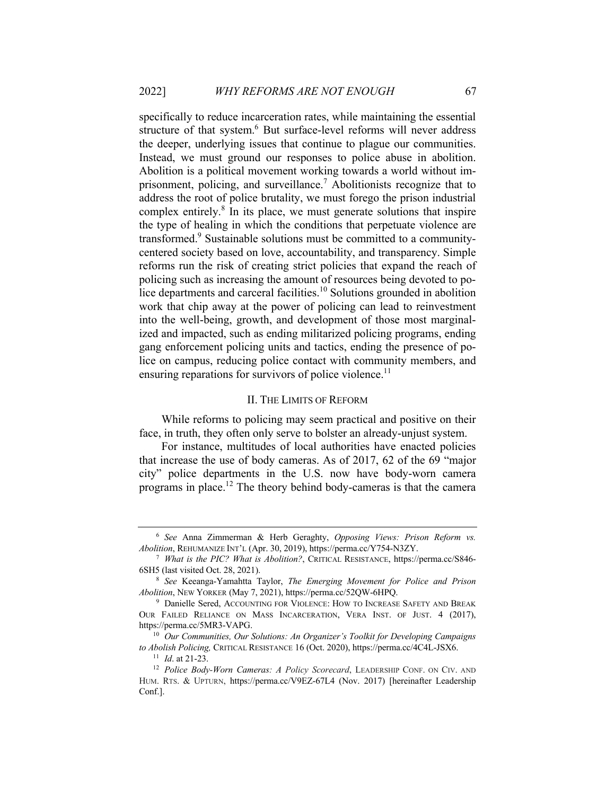specifically to reduce incarceration rates, while maintaining the essential structure of that system.<sup>6</sup> But surface-level reforms will never address the deeper, underlying issues that continue to plague our communities. Instead, we must ground our responses to police abuse in abolition. Abolition is a political movement working towards a world without imprisonment, policing, and surveillance.<sup>7</sup> Abolitionists recognize that to address the root of police brutality, we must forego the prison industrial complex entirely.<sup>8</sup> In its place, we must generate solutions that inspire the type of healing in which the conditions that perpetuate violence are transformed.9 Sustainable solutions must be committed to a communitycentered society based on love, accountability, and transparency. Simple reforms run the risk of creating strict policies that expand the reach of policing such as increasing the amount of resources being devoted to police departments and carceral facilities.<sup>10</sup> Solutions grounded in abolition work that chip away at the power of policing can lead to reinvestment into the well-being, growth, and development of those most marginalized and impacted, such as ending militarized policing programs, ending gang enforcement policing units and tactics, ending the presence of police on campus, reducing police contact with community members, and ensuring reparations for survivors of police violence.<sup>11</sup>

#### II. THE LIMITS OF REFORM

While reforms to policing may seem practical and positive on their face, in truth, they often only serve to bolster an already-unjust system.

For instance, multitudes of local authorities have enacted policies that increase the use of body cameras. As of 2017, 62 of the 69 "major city" police departments in the U.S. now have body-worn camera programs in place.12 The theory behind body-cameras is that the camera

<sup>6</sup> *See* Anna Zimmerman & Herb Geraghty, *Opposing Views: Prison Reform vs. Abolition*, REHUMANIZE INT'L (Apr. 30, 2019), https://perma.cc/Y754-N3ZY.

<sup>7</sup> *What is the PIC? What is Abolition?*, CRITICAL RESISTANCE, https://perma.cc/S846- 6SH5 (last visited Oct. 28, 2021).

<sup>8</sup> *See* Keeanga-Yamahtta Taylor, *The Emerging Movement for Police and Prison Abolition*, NEW YORKER (May 7, 2021), https://perma.cc/52QW-6HPQ.

<sup>&</sup>lt;sup>9</sup> Danielle Sered, ACCOUNTING FOR VIOLENCE: HOW TO INCREASE SAFETY AND BREAK OUR FAILED RELIANCE ON MASS INCARCERATION, VERA INST. OF JUST. 4 (2017), https://perma.cc/5MR3-VAPG.

<sup>10</sup> *Our Communities, Our Solutions: An Organizer's Toolkit for Developing Campaigns to Abolish Policing,* CRITICAL RESISTANCE <sup>16</sup> (Oct. 2020), https://perma.cc/4C4L-JSX6. 11 *Id*. at 21-23.

<sup>12</sup> *Police Body-Worn Cameras: A Policy Scorecard*, LEADERSHIP CONF. ON CIV. AND HUM. RTS. & UPTURN, https://perma.cc/V9EZ-67L4 (Nov. 2017) [hereinafter Leadership Conf.].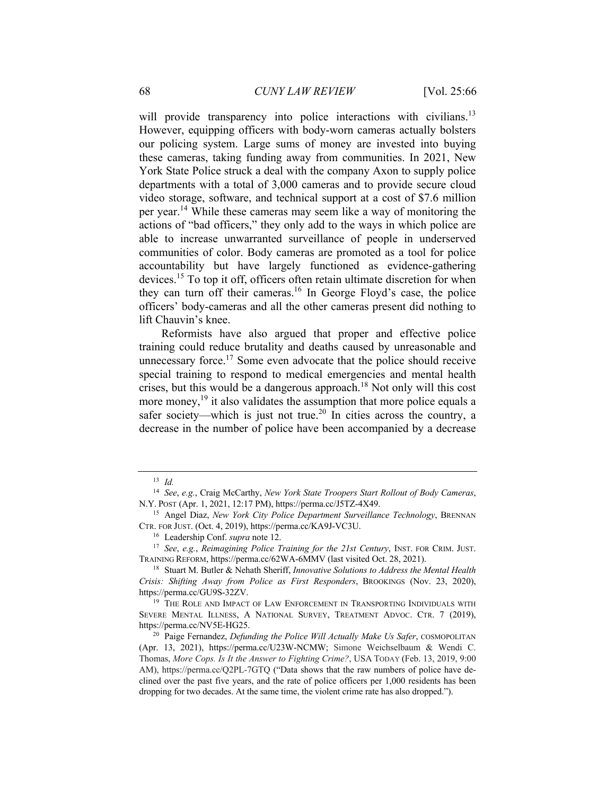will provide transparency into police interactions with civilians.<sup>13</sup> However, equipping officers with body-worn cameras actually bolsters our policing system. Large sums of money are invested into buying these cameras, taking funding away from communities. In 2021, New York State Police struck a deal with the company Axon to supply police departments with a total of 3,000 cameras and to provide secure cloud video storage, software, and technical support at a cost of \$7.6 million per year.<sup>14</sup> While these cameras may seem like a way of monitoring the actions of "bad officers," they only add to the ways in which police are able to increase unwarranted surveillance of people in underserved communities of color. Body cameras are promoted as a tool for police accountability but have largely functioned as evidence-gathering devices.<sup>15</sup> To top it off, officers often retain ultimate discretion for when they can turn off their cameras.<sup>16</sup> In George Floyd's case, the police officers' body-cameras and all the other cameras present did nothing to lift Chauvin's knee.

Reformists have also argued that proper and effective police training could reduce brutality and deaths caused by unreasonable and unnecessary force.<sup>17</sup> Some even advocate that the police should receive special training to respond to medical emergencies and mental health crises, but this would be a dangerous approach.<sup>18</sup> Not only will this cost more money, $^{19}$  it also validates the assumption that more police equals a safer society—which is just not true.<sup>20</sup> In cities across the country, a decrease in the number of police have been accompanied by a decrease

<sup>13</sup> *Id.*

<sup>14</sup> *See*, *e.g.*, Craig McCarthy, *New York State Troopers Start Rollout of Body Cameras*, N.Y. POST (Apr. 1, 2021, 12:17 PM), https://perma.cc/J5TZ-4X49.

<sup>15</sup> Angel Diaz, *New York City Police Department Surveillance Technology*, BRENNAN CTR. FOR JUST. (Oct. 4, 2019), https://perma.cc/KA9J-VC3U.

<sup>16</sup> Leadership Conf. *supra* note 12.

<sup>17</sup> *See*, *e.g.*, *Reimagining Police Training for the 21st Century*, INST. FOR CRIM. JUST. TRAINING REFORM, https://perma.cc/62WA-6MMV (last visited Oct. 28, 2021).

<sup>18</sup> Stuart M. Butler & Nehath Sheriff, *Innovative Solutions to Address the Mental Health Crisis: Shifting Away from Police as First Responders*, BROOKINGS (Nov. 23, 2020), https://perma.cc/GU9S-32ZV.

<sup>&</sup>lt;sup>19</sup> THE ROLE AND IMPACT OF LAW ENFORCEMENT IN TRANSPORTING INDIVIDUALS WITH SEVERE MENTAL ILLNESS, A NATIONAL SURVEY, TREATMENT ADVOC. CTR. 7 (2019), https://perma.cc/NV5E-HG25.

<sup>&</sup>lt;sup>20</sup> Paige Fernandez, *Defunding the Police Will Actually Make Us Safer*, COSMOPOLITAN (Apr. 13, 2021), https://perma.cc/U23W-NCMW; Simone Weichselbaum & Wendi C. Thomas, *More Cops. Is It the Answer to Fighting Crime?*, USA TODAY (Feb. 13, 2019, 9:00 AM), https://perma.cc/Q2PL-7GTQ ("Data shows that the raw numbers of police have declined over the past five years, and the rate of police officers per 1,000 residents has been dropping for two decades. At the same time, the violent crime rate has also dropped.").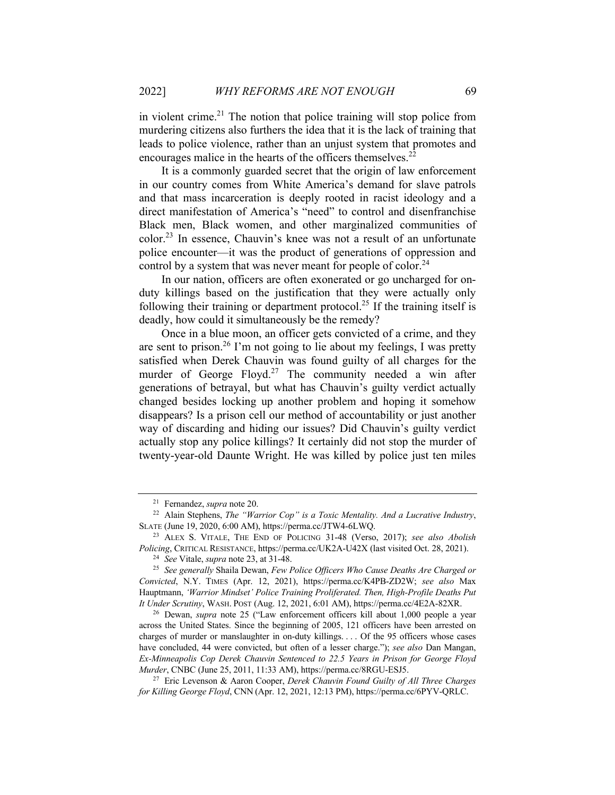in violent crime.<sup>21</sup> The notion that police training will stop police from murdering citizens also furthers the idea that it is the lack of training that leads to police violence, rather than an unjust system that promotes and encourages malice in the hearts of the officers themselves. $^{22}$ 

It is a commonly guarded secret that the origin of law enforcement in our country comes from White America's demand for slave patrols and that mass incarceration is deeply rooted in racist ideology and a direct manifestation of America's "need" to control and disenfranchise Black men, Black women, and other marginalized communities of color.<sup>23</sup> In essence, Chauvin's knee was not a result of an unfortunate police encounter—it was the product of generations of oppression and control by a system that was never meant for people of color.<sup>24</sup>

In our nation, officers are often exonerated or go uncharged for onduty killings based on the justification that they were actually only following their training or department protocol.<sup>25</sup> If the training itself is deadly, how could it simultaneously be the remedy?

Once in a blue moon, an officer gets convicted of a crime, and they are sent to prison.<sup>26</sup> I'm not going to lie about my feelings, I was pretty satisfied when Derek Chauvin was found guilty of all charges for the murder of George Floyd.<sup>27</sup> The community needed a win after generations of betrayal, but what has Chauvin's guilty verdict actually changed besides locking up another problem and hoping it somehow disappears? Is a prison cell our method of accountability or just another way of discarding and hiding our issues? Did Chauvin's guilty verdict actually stop any police killings? It certainly did not stop the murder of twenty-year-old Daunte Wright. He was killed by police just ten miles

<sup>21</sup> Fernandez, *supra* note 20.

<sup>22</sup> Alain Stephens, *The "Warrior Cop" is a Toxic Mentality. And a Lucrative Industry*, SLATE (June 19, 2020, 6:00 AM), https://perma.cc/JTW4-6LWQ.

<sup>23</sup> ALEX S. VITALE, THE END OF POLICING 31-48 (Verso, 2017); *see also Abolish Policing*, CRITICAL RESISTANCE, https://perma.cc/UK2A-U42X (last visited Oct. 28, 2021).

<sup>24</sup> *See* Vitale, *supra* note 23, at 31-48.

<sup>25</sup> *See generally* Shaila Dewan, *Few Police Officers Who Cause Deaths Are Charged or Convicted*, N.Y. TIMES (Apr. 12, 2021), https://perma.cc/K4PB-ZD2W; *see also* Max Hauptmann, *'Warrior Mindset' Police Training Proliferated. Then, High-Profile Deaths Put It Under Scrutiny*, WASH. POST (Aug. 12, 2021, 6:01 AM), https://perma.cc/4E2A-82XR.

<sup>26</sup> Dewan, *supra* note 25 ("Law enforcement officers kill about 1,000 people a year across the United States. Since the beginning of 2005, 121 officers have been arrested on charges of murder or manslaughter in on-duty killings. . . . Of the 95 officers whose cases have concluded, 44 were convicted, but often of a lesser charge."); *see also* Dan Mangan, *Ex-Minneapolis Cop Derek Chauvin Sentenced to 22.5 Years in Prison for George Floyd Murder*, CNBC (June 25, 2011, 11:33 AM), https://perma.cc/8RGU-ESJ5.

<sup>27</sup> Eric Levenson & Aaron Cooper, *Derek Chauvin Found Guilty of All Three Charges for Killing George Floyd*, CNN (Apr. 12, 2021, 12:13 PM), https://perma.cc/6PYV-QRLC.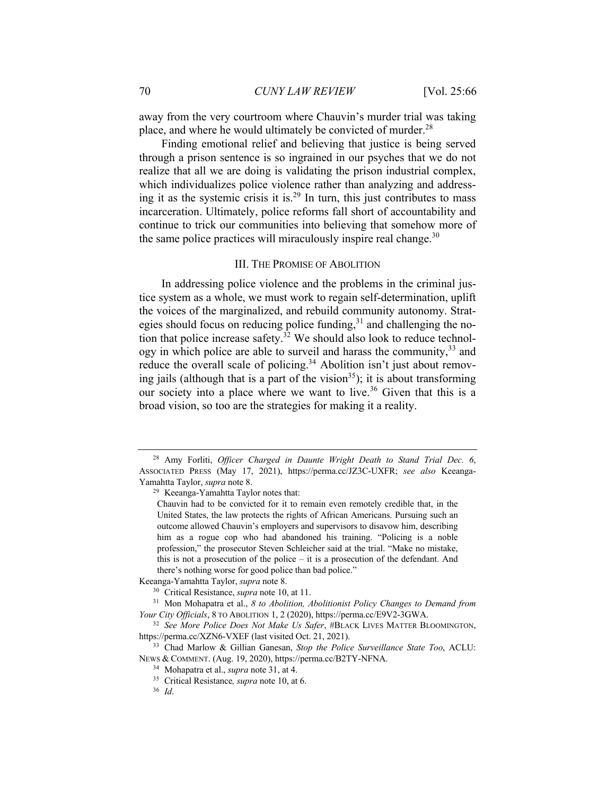away from the very courtroom where Chauvin's murder trial was taking place, and where he would ultimately be convicted of murder. $^{28}$ 

Finding emotional relief and believing that justice is being served through a prison sentence is so ingrained in our psyches that we do not realize that all we are doing is validating the prison industrial complex, which individualizes police violence rather than analyzing and addressing it as the systemic crisis it is.<sup>29</sup> In turn, this just contributes to mass incarceration. Ultimately, police reforms fall short of accountability and continue to trick our communities into believing that somehow more of the same police practices will miraculously inspire real change.<sup>30</sup>

### III. THE PROMISE OF ABOLITION

In addressing police violence and the problems in the criminal justice system as a whole, we must work to regain self-determination, uplift the voices of the marginalized, and rebuild community autonomy. Strategies should focus on reducing police funding,<sup>31</sup> and challenging the notion that police increase safety.<sup>32</sup> We should also look to reduce technology in which police are able to surveil and harass the community,  $33$  and reduce the overall scale of policing.<sup>34</sup> Abolition isn't just about removing jails (although that is a part of the vision<sup>35</sup>); it is about transforming our society into a place where we want to live.<sup>36</sup> Given that this is a broad vision, so too are the strategies for making it a reality.

Keeanga-Yamahtta Taylor, *supra* note 8.

<sup>28</sup> Amy Forliti, *Officer Charged in Daunte Wright Death to Stand Trial Dec. 6*, ASSOCIATED PRESS (May 17, 2021), https://perma.cc/JZ3C-UXFR; *see also* Keeanga-Yamahtta Taylor, *supra* note 8.

<sup>29</sup> Keeanga-Yamahtta Taylor notes that:

Chauvin had to be convicted for it to remain even remotely credible that, in the United States, the law protects the rights of African Americans. Pursuing such an outcome allowed Chauvin's employers and supervisors to disavow him, describing him as a rogue cop who had abandoned his training. "Policing is a noble profession," the prosecutor Steven Schleicher said at the trial. "Make no mistake, this is not a prosecution of the police – it is a prosecution of the defendant. And there's nothing worse for good police than bad police."

<sup>30</sup> Critical Resistance, *supra* note 10, at 11.

<sup>31</sup> Mon Mohapatra et al., *8 to Abolition, Abolitionist Policy Changes to Demand from Your City Officials*, 8 TO ABOLITION 1, 2 (2020), https://perma.cc/E9V2-3GWA.

<sup>32</sup> *See More Police Does Not Make Us Safer*, #BLACK LIVES MATTER BLOOMINGTON, https://perma.cc/XZN6-VXEF (last visited Oct. 21, 2021).

<sup>33</sup> Chad Marlow & Gillian Ganesan, *Stop the Police Surveillance State Too*, ACLU: NEWS & COMMENT. (Aug. 19, 2020), https://perma.cc/B2TY-NFNA.

<sup>34</sup> Mohapatra et al., *supra* note 31, at 4.

<sup>35</sup> Critical Resistance*, supra* note 10, at 6.

<sup>36</sup> *Id*.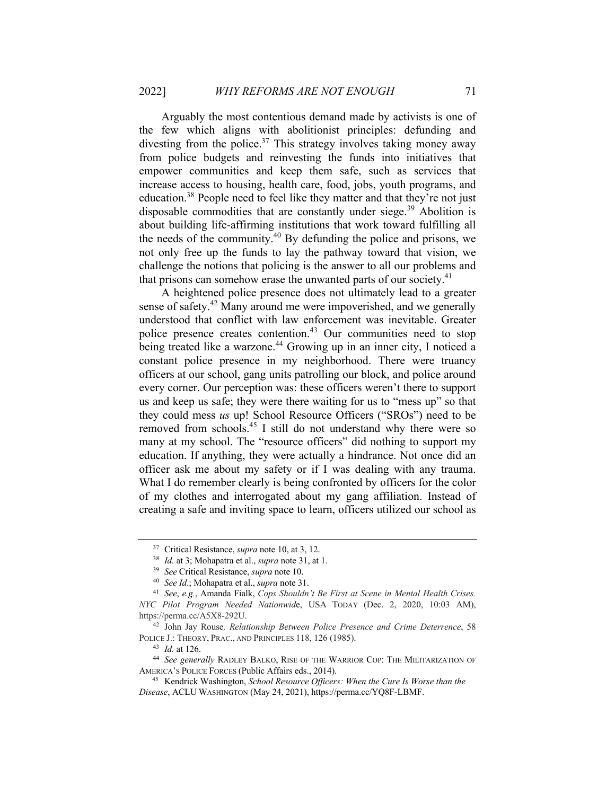Arguably the most contentious demand made by activists is one of the few which aligns with abolitionist principles: defunding and divesting from the police.<sup>37</sup> This strategy involves taking money away from police budgets and reinvesting the funds into initiatives that empower communities and keep them safe, such as services that increase access to housing, health care, food, jobs, youth programs, and education.38 People need to feel like they matter and that they're not just disposable commodities that are constantly under siege.<sup>39</sup> Abolition is about building life-affirming institutions that work toward fulfilling all the needs of the community. $40$  By defunding the police and prisons, we not only free up the funds to lay the pathway toward that vision, we challenge the notions that policing is the answer to all our problems and that prisons can somehow erase the unwanted parts of our society.<sup>41</sup>

A heightened police presence does not ultimately lead to a greater sense of safety.<sup>42</sup> Many around me were impoverished, and we generally understood that conflict with law enforcement was inevitable. Greater police presence creates contention.<sup>43</sup> Our communities need to stop being treated like a warzone.<sup>44</sup> Growing up in an inner city, I noticed a constant police presence in my neighborhood. There were truancy officers at our school, gang units patrolling our block, and police around every corner. Our perception was: these officers weren't there to support us and keep us safe; they were there waiting for us to "mess up" so that they could mess *us* up! School Resource Officers ("SROs") need to be removed from schools.45 I still do not understand why there were so many at my school. The "resource officers" did nothing to support my education. If anything, they were actually a hindrance. Not once did an officer ask me about my safety or if I was dealing with any trauma. What I do remember clearly is being confronted by officers for the color of my clothes and interrogated about my gang affiliation. Instead of creating a safe and inviting space to learn, officers utilized our school as

<sup>37</sup> Critical Resistance, *supra* note 10, at 3, 12.

<sup>38</sup> *Id.* at 3; Mohapatra et al., *supra* note 31, at 1.

<sup>39</sup> *See* Critical Resistance, *supra* note 10.

<sup>40</sup> *See Id*.; Mohapatra et al., *supra* note 31.

<sup>41</sup> *See*, *e.g.*, Amanda Fialk, *Cops Shouldn't Be First at Scene in Mental Health Crises. NYC Pilot Program Needed Nationwid*e, USA TODAY (Dec. 2, 2020, 10:03 AM), https://perma.cc/A5X8-292U.

<sup>42</sup> John Jay Rouse*, Relationship Between Police Presence and Crime Deterrence*, 58 POLICE J.: THEORY, PRAC., AND PRINCIPLES 118, 126 (1985).

<sup>43</sup> *Id.* at 126.

<sup>44</sup> *See generally* RADLEY BALKO, RISE OF THE WARRIOR COP: THE MILITARIZATION OF AMERICA'S POLICE FORCES (Public Affairs eds., 2014).

<sup>45</sup> Kendrick Washington, *School Resource Officers: When the Cure Is Worse than the Disease*, ACLU WASHINGTON (May 24, 2021), https://perma.cc/YQ8F-LBMF.